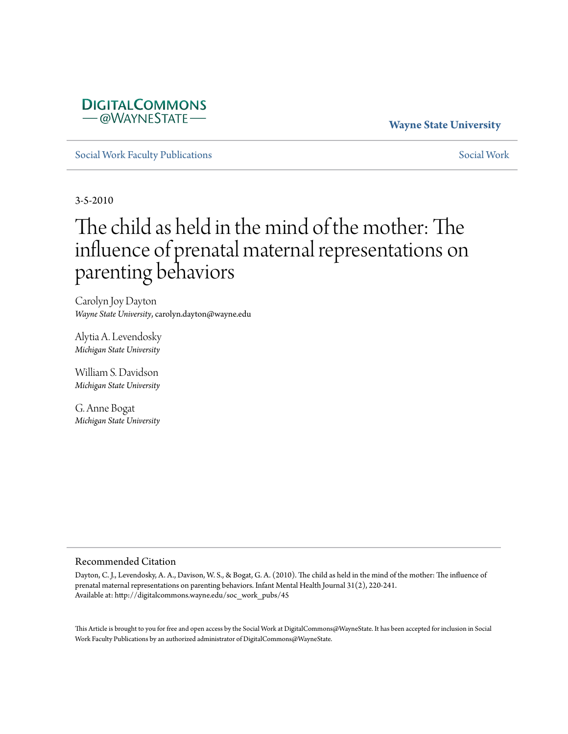# **DIGITALCOMMONS** -@WAYNESTATE

**Wayne State University**

[Social Work Faculty Publications](http://digitalcommons.wayne.edu/soc_work_pubs) [Social Work](http://digitalcommons.wayne.edu/soc_work) Social Work

3-5-2010

# The child as held in the mind of the mother: The influence of prenatal maternal representations on parenting behaviors

Carolyn Joy Dayton *Wayne State University*, carolyn.dayton@wayne.edu

Alytia A. Levendosky *Michigan State University*

William S. Davidson *Michigan State University*

G. Anne Bogat *Michigan State University*

#### Recommended Citation

Dayton, C. J., Levendosky, A. A., Davison, W. S., & Bogat, G. A. (2010). The child as held in the mind of the mother: The influence of prenatal maternal representations on parenting behaviors. Infant Mental Health Journal 31(2), 220-241. Available at: http://digitalcommons.wayne.edu/soc\_work\_pubs/45

This Article is brought to you for free and open access by the Social Work at DigitalCommons@WayneState. It has been accepted for inclusion in Social Work Faculty Publications by an authorized administrator of DigitalCommons@WayneState.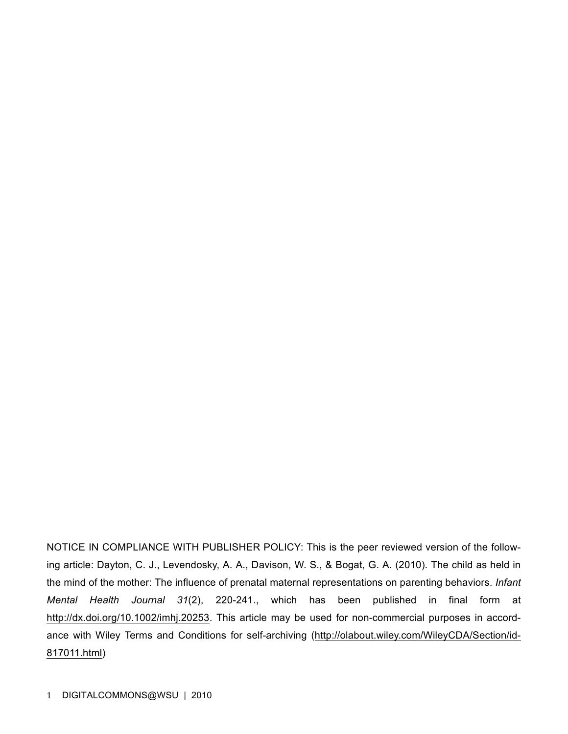NOTICE IN COMPLIANCE WITH PUBLISHER POLICY: This is the peer reviewed version of the following article: Dayton, C. J., Levendosky, A. A., Davison, W. S., & Bogat, G. A. (2010). The child as held in the mind of the mother: The influence of prenatal maternal representations on parenting behaviors. *Infant Mental Health Journal 31*(2), 220-241., which has been published in final form at http://dx.doi.org/10.1002/imhj.20253. This article may be used for non-commercial purposes in accordance with Wiley Terms and Conditions for self-archiving (http://olabout.wiley.com/WileyCDA/Section/id-817011.html)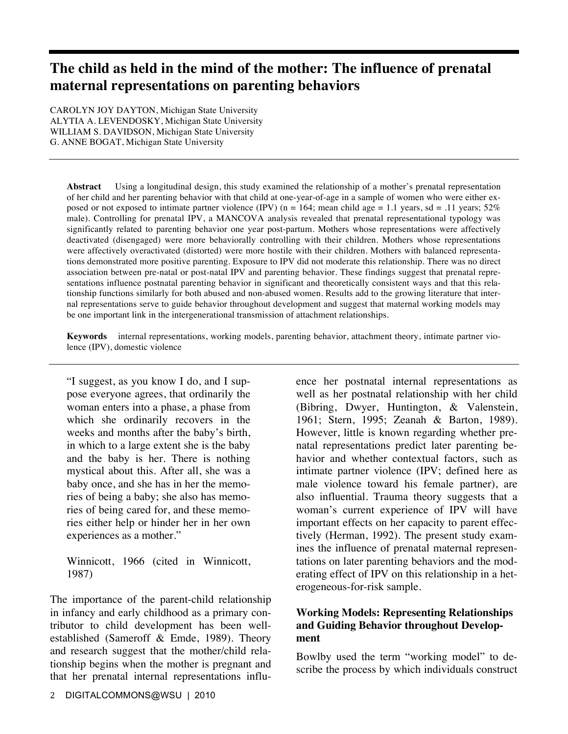# **The child as held in the mind of the mother: The influence of prenatal maternal representations on parenting behaviors**

CAROLYN JOY DAYTON, Michigan State University ALYTIA A. LEVENDOSKY, Michigan State University WILLIAM S. DAVIDSON, Michigan State University G. ANNE BOGAT, Michigan State University

**Abstract** Using a longitudinal design, this study examined the relationship of a mother's prenatal representation of her child and her parenting behavior with that child at one-year-of-age in a sample of women who were either exposed or not exposed to intimate partner violence (IPV) ( $n = 164$ ; mean child age = 1.1 years, sd = .11 years; 52% male). Controlling for prenatal IPV, a MANCOVA analysis revealed that prenatal representational typology was significantly related to parenting behavior one year post-partum. Mothers whose representations were affectively deactivated (disengaged) were more behaviorally controlling with their children. Mothers whose representations were affectively overactivated (distorted) were more hostile with their children. Mothers with balanced representations demonstrated more positive parenting. Exposure to IPV did not moderate this relationship. There was no direct association between pre-natal or post-natal IPV and parenting behavior. These findings suggest that prenatal representations influence postnatal parenting behavior in significant and theoretically consistent ways and that this relationship functions similarly for both abused and non-abused women. Results add to the growing literature that internal representations serve to guide behavior throughout development and suggest that maternal working models may be one important link in the intergenerational transmission of attachment relationships.

**Keywords** internal representations, working models, parenting behavior, attachment theory, intimate partner violence (IPV), domestic violence

"I suggest, as you know I do, and I suppose everyone agrees, that ordinarily the woman enters into a phase, a phase from which she ordinarily recovers in the weeks and months after the baby's birth, in which to a large extent she is the baby and the baby is her. There is nothing mystical about this. After all, she was a baby once, and she has in her the memories of being a baby; she also has memories of being cared for, and these memories either help or hinder her in her own experiences as a mother."

Winnicott, 1966 (cited in Winnicott, 1987)

The importance of the parent-child relationship in infancy and early childhood as a primary contributor to child development has been wellestablished (Sameroff & Emde, 1989). Theory and research suggest that the mother/child relationship begins when the mother is pregnant and that her prenatal internal representations influence her postnatal internal representations as well as her postnatal relationship with her child (Bibring, Dwyer, Huntington, & Valenstein, 1961; Stern, 1995; Zeanah & Barton, 1989). However, little is known regarding whether prenatal representations predict later parenting behavior and whether contextual factors, such as intimate partner violence (IPV; defined here as male violence toward his female partner), are also influential. Trauma theory suggests that a woman's current experience of IPV will have important effects on her capacity to parent effectively (Herman, 1992). The present study examines the influence of prenatal maternal representations on later parenting behaviors and the moderating effect of IPV on this relationship in a heterogeneous-for-risk sample.

#### **Working Models: Representing Relationships and Guiding Behavior throughout Development**

Bowlby used the term "working model" to describe the process by which individuals construct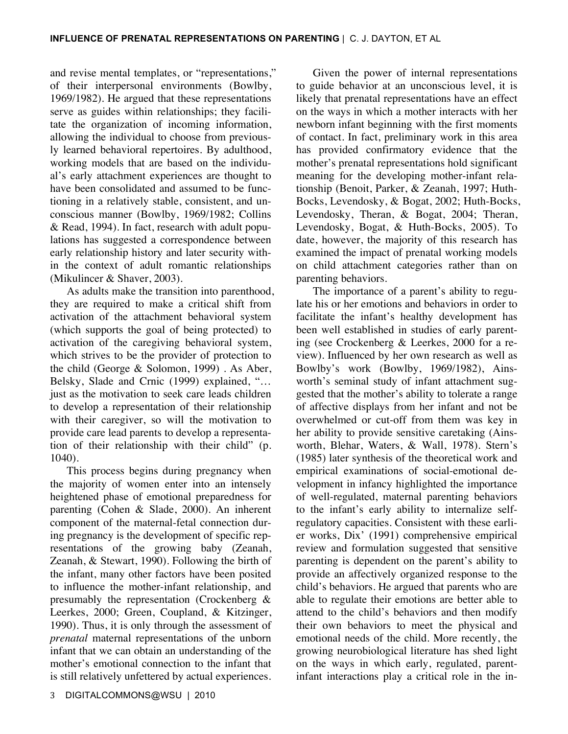and revise mental templates, or "representations," of their interpersonal environments (Bowlby, 1969/1982). He argued that these representations serve as guides within relationships; they facilitate the organization of incoming information, allowing the individual to choose from previously learned behavioral repertoires. By adulthood, working models that are based on the individual's early attachment experiences are thought to have been consolidated and assumed to be functioning in a relatively stable, consistent, and unconscious manner (Bowlby, 1969/1982; Collins & Read, 1994). In fact, research with adult populations has suggested a correspondence between early relationship history and later security within the context of adult romantic relationships (Mikulincer & Shaver, 2003).

As adults make the transition into parenthood, they are required to make a critical shift from activation of the attachment behavioral system (which supports the goal of being protected) to activation of the caregiving behavioral system, which strives to be the provider of protection to the child (George & Solomon, 1999) . As Aber, Belsky, Slade and Crnic (1999) explained, "… just as the motivation to seek care leads children to develop a representation of their relationship with their caregiver, so will the motivation to provide care lead parents to develop a representation of their relationship with their child" (p. 1040).

This process begins during pregnancy when the majority of women enter into an intensely heightened phase of emotional preparedness for parenting (Cohen & Slade, 2000). An inherent component of the maternal-fetal connection during pregnancy is the development of specific representations of the growing baby (Zeanah, Zeanah, & Stewart, 1990). Following the birth of the infant, many other factors have been posited to influence the mother-infant relationship, and presumably the representation (Crockenberg & Leerkes, 2000; Green, Coupland, & Kitzinger, 1990). Thus, it is only through the assessment of *prenatal* maternal representations of the unborn infant that we can obtain an understanding of the mother's emotional connection to the infant that is still relatively unfettered by actual experiences.

Given the power of internal representations to guide behavior at an unconscious level, it is likely that prenatal representations have an effect on the ways in which a mother interacts with her newborn infant beginning with the first moments of contact. In fact, preliminary work in this area has provided confirmatory evidence that the mother's prenatal representations hold significant meaning for the developing mother-infant relationship (Benoit, Parker, & Zeanah, 1997; Huth-Bocks, Levendosky, & Bogat, 2002; Huth-Bocks, Levendosky, Theran, & Bogat, 2004; Theran, Levendosky, Bogat, & Huth-Bocks, 2005). To date, however, the majority of this research has examined the impact of prenatal working models on child attachment categories rather than on parenting behaviors.

The importance of a parent's ability to regulate his or her emotions and behaviors in order to facilitate the infant's healthy development has been well established in studies of early parenting (see Crockenberg & Leerkes, 2000 for a review). Influenced by her own research as well as Bowlby's work (Bowlby, 1969/1982), Ainsworth's seminal study of infant attachment suggested that the mother's ability to tolerate a range of affective displays from her infant and not be overwhelmed or cut-off from them was key in her ability to provide sensitive caretaking (Ainsworth, Blehar, Waters, & Wall, 1978). Stern's (1985) later synthesis of the theoretical work and empirical examinations of social-emotional development in infancy highlighted the importance of well-regulated, maternal parenting behaviors to the infant's early ability to internalize selfregulatory capacities. Consistent with these earlier works, Dix' (1991) comprehensive empirical review and formulation suggested that sensitive parenting is dependent on the parent's ability to provide an affectively organized response to the child's behaviors. He argued that parents who are able to regulate their emotions are better able to attend to the child's behaviors and then modify their own behaviors to meet the physical and emotional needs of the child. More recently, the growing neurobiological literature has shed light on the ways in which early, regulated, parentinfant interactions play a critical role in the in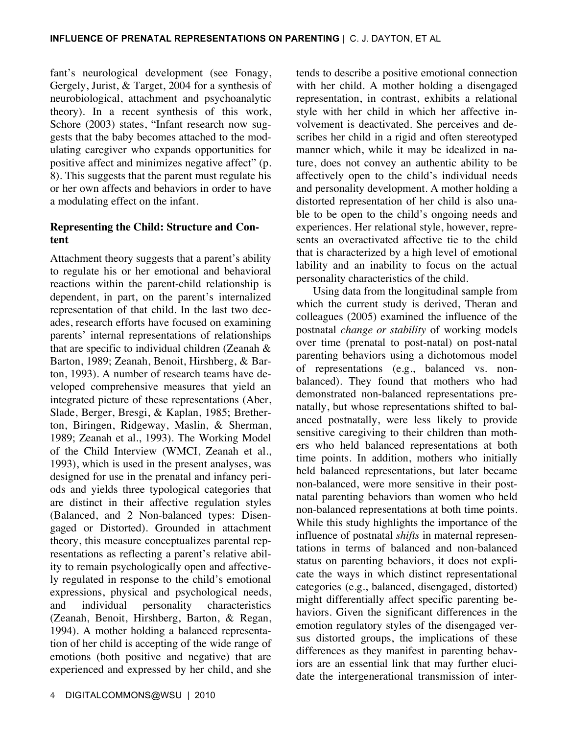fant's neurological development (see Fonagy, Gergely, Jurist, & Target, 2004 for a synthesis of neurobiological, attachment and psychoanalytic theory). In a recent synthesis of this work, Schore (2003) states, "Infant research now suggests that the baby becomes attached to the modulating caregiver who expands opportunities for positive affect and minimizes negative affect" (p. 8). This suggests that the parent must regulate his or her own affects and behaviors in order to have a modulating effect on the infant.

#### **Representing the Child: Structure and Content**

Attachment theory suggests that a parent's ability to regulate his or her emotional and behavioral reactions within the parent-child relationship is dependent, in part, on the parent's internalized representation of that child. In the last two decades, research efforts have focused on examining parents' internal representations of relationships that are specific to individual children (Zeanah & Barton, 1989; Zeanah, Benoit, Hirshberg, & Barton, 1993). A number of research teams have developed comprehensive measures that yield an integrated picture of these representations (Aber, Slade, Berger, Bresgi, & Kaplan, 1985; Bretherton, Biringen, Ridgeway, Maslin, & Sherman, 1989; Zeanah et al., 1993). The Working Model of the Child Interview (WMCI, Zeanah et al., 1993), which is used in the present analyses, was designed for use in the prenatal and infancy periods and yields three typological categories that are distinct in their affective regulation styles (Balanced, and 2 Non-balanced types: Disengaged or Distorted). Grounded in attachment theory, this measure conceptualizes parental representations as reflecting a parent's relative ability to remain psychologically open and affectively regulated in response to the child's emotional expressions, physical and psychological needs, and individual personality characteristics (Zeanah, Benoit, Hirshberg, Barton, & Regan, 1994). A mother holding a balanced representation of her child is accepting of the wide range of emotions (both positive and negative) that are experienced and expressed by her child, and she tends to describe a positive emotional connection with her child. A mother holding a disengaged representation, in contrast, exhibits a relational style with her child in which her affective involvement is deactivated. She perceives and describes her child in a rigid and often stereotyped manner which, while it may be idealized in nature, does not convey an authentic ability to be affectively open to the child's individual needs and personality development. A mother holding a distorted representation of her child is also unable to be open to the child's ongoing needs and experiences. Her relational style, however, represents an overactivated affective tie to the child that is characterized by a high level of emotional lability and an inability to focus on the actual personality characteristics of the child.

Using data from the longitudinal sample from which the current study is derived, Theran and colleagues (2005) examined the influence of the postnatal *change or stability* of working models over time (prenatal to post-natal) on post-natal parenting behaviors using a dichotomous model of representations (e.g., balanced vs. nonbalanced). They found that mothers who had demonstrated non-balanced representations prenatally, but whose representations shifted to balanced postnatally, were less likely to provide sensitive caregiving to their children than mothers who held balanced representations at both time points. In addition, mothers who initially held balanced representations, but later became non-balanced, were more sensitive in their postnatal parenting behaviors than women who held non-balanced representations at both time points. While this study highlights the importance of the influence of postnatal *shifts* in maternal representations in terms of balanced and non-balanced status on parenting behaviors, it does not explicate the ways in which distinct representational categories (e.g., balanced, disengaged, distorted) might differentially affect specific parenting behaviors. Given the significant differences in the emotion regulatory styles of the disengaged versus distorted groups, the implications of these differences as they manifest in parenting behaviors are an essential link that may further elucidate the intergenerational transmission of inter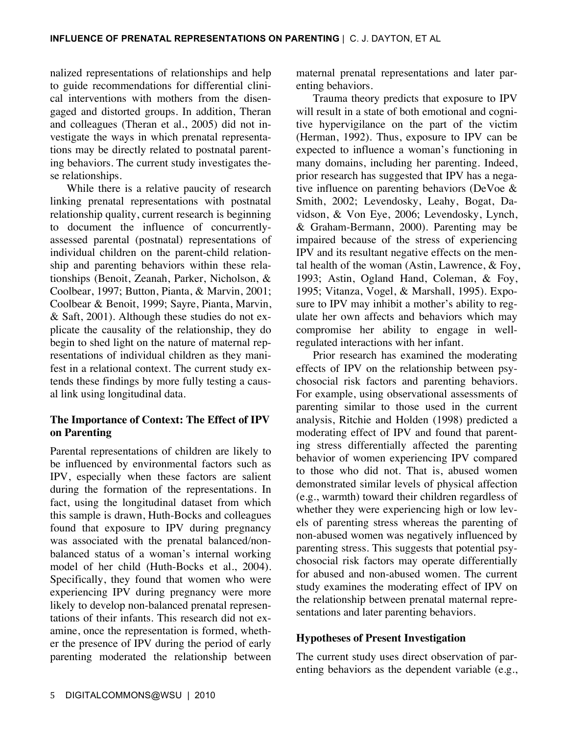nalized representations of relationships and help to guide recommendations for differential clinical interventions with mothers from the disengaged and distorted groups. In addition, Theran and colleagues (Theran et al., 2005) did not investigate the ways in which prenatal representations may be directly related to postnatal parenting behaviors. The current study investigates these relationships.

While there is a relative paucity of research linking prenatal representations with postnatal relationship quality, current research is beginning to document the influence of concurrentlyassessed parental (postnatal) representations of individual children on the parent-child relationship and parenting behaviors within these relationships (Benoit, Zeanah, Parker, Nicholson, & Coolbear, 1997; Button, Pianta, & Marvin, 2001; Coolbear & Benoit, 1999; Sayre, Pianta, Marvin, & Saft, 2001). Although these studies do not explicate the causality of the relationship, they do begin to shed light on the nature of maternal representations of individual children as they manifest in a relational context. The current study extends these findings by more fully testing a causal link using longitudinal data.

# **The Importance of Context: The Effect of IPV on Parenting**

Parental representations of children are likely to be influenced by environmental factors such as IPV, especially when these factors are salient during the formation of the representations. In fact, using the longitudinal dataset from which this sample is drawn, Huth-Bocks and colleagues found that exposure to IPV during pregnancy was associated with the prenatal balanced/nonbalanced status of a woman's internal working model of her child (Huth-Bocks et al., 2004). Specifically, they found that women who were experiencing IPV during pregnancy were more likely to develop non-balanced prenatal representations of their infants. This research did not examine, once the representation is formed, whether the presence of IPV during the period of early parenting moderated the relationship between maternal prenatal representations and later parenting behaviors.

Trauma theory predicts that exposure to IPV will result in a state of both emotional and cognitive hypervigilance on the part of the victim (Herman, 1992). Thus, exposure to IPV can be expected to influence a woman's functioning in many domains, including her parenting. Indeed, prior research has suggested that IPV has a negative influence on parenting behaviors (DeVoe & Smith, 2002; Levendosky, Leahy, Bogat, Davidson, & Von Eye, 2006; Levendosky, Lynch, & Graham-Bermann, 2000). Parenting may be impaired because of the stress of experiencing IPV and its resultant negative effects on the mental health of the woman (Astin, Lawrence, & Foy, 1993; Astin, Ogland Hand, Coleman, & Foy, 1995; Vitanza, Vogel, & Marshall, 1995). Exposure to IPV may inhibit a mother's ability to regulate her own affects and behaviors which may compromise her ability to engage in wellregulated interactions with her infant.

Prior research has examined the moderating effects of IPV on the relationship between psychosocial risk factors and parenting behaviors. For example, using observational assessments of parenting similar to those used in the current analysis, Ritchie and Holden (1998) predicted a moderating effect of IPV and found that parenting stress differentially affected the parenting behavior of women experiencing IPV compared to those who did not. That is, abused women demonstrated similar levels of physical affection (e.g., warmth) toward their children regardless of whether they were experiencing high or low levels of parenting stress whereas the parenting of non-abused women was negatively influenced by parenting stress. This suggests that potential psychosocial risk factors may operate differentially for abused and non-abused women. The current study examines the moderating effect of IPV on the relationship between prenatal maternal representations and later parenting behaviors.

# **Hypotheses of Present Investigation**

The current study uses direct observation of parenting behaviors as the dependent variable (e.g.,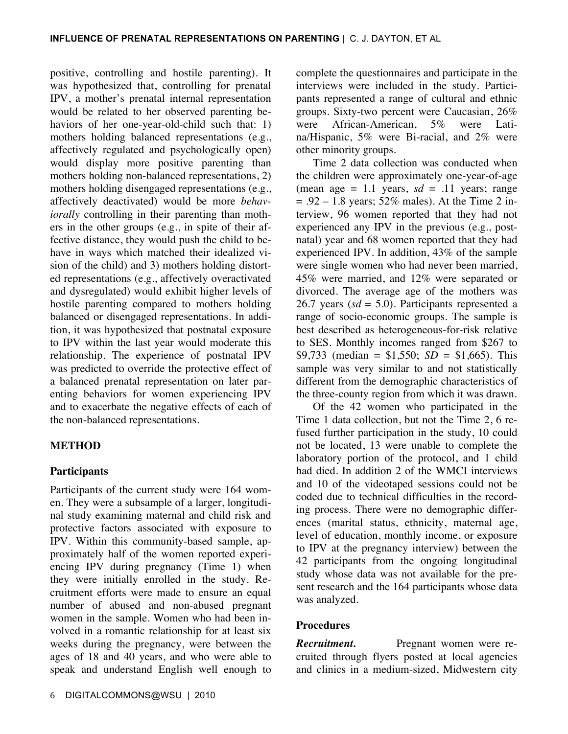positive, controlling and hostile parenting). It was hypothesized that, controlling for prenatal IPV, a mother's prenatal internal representation would be related to her observed parenting behaviors of her one-year-old-child such that: 1) mothers holding balanced representations (e.g., affectively regulated and psychologically open) would display more positive parenting than mothers holding non-balanced representations, 2) mothers holding disengaged representations (e.g., affectively deactivated) would be more *behaviorally* controlling in their parenting than mothers in the other groups (e.g., in spite of their affective distance, they would push the child to behave in ways which matched their idealized vision of the child) and 3) mothers holding distorted representations (e.g., affectively overactivated and dysregulated) would exhibit higher levels of hostile parenting compared to mothers holding balanced or disengaged representations. In addition, it was hypothesized that postnatal exposure to IPV within the last year would moderate this relationship. The experience of postnatal IPV was predicted to override the protective effect of a balanced prenatal representation on later parenting behaviors for women experiencing IPV and to exacerbate the negative effects of each of the non-balanced representations.

# **METHOD**

# **Participants**

Participants of the current study were 164 women. They were a subsample of a larger, longitudinal study examining maternal and child risk and protective factors associated with exposure to IPV. Within this community-based sample, approximately half of the women reported experiencing IPV during pregnancy (Time 1) when they were initially enrolled in the study. Recruitment efforts were made to ensure an equal number of abused and non-abused pregnant women in the sample. Women who had been involved in a romantic relationship for at least six weeks during the pregnancy, were between the ages of 18 and 40 years, and who were able to speak and understand English well enough to

complete the questionnaires and participate in the interviews were included in the study. Participants represented a range of cultural and ethnic groups. Sixty-two percent were Caucasian, 26% were African-American, 5% were Latina/Hispanic, 5% were Bi-racial, and 2% were other minority groups.

Time 2 data collection was conducted when the children were approximately one-year-of-age (mean age  $= 1.1$  years,  $sd = .11$  years; range  $= .92 - 1.8$  years; 52% males). At the Time 2 interview, 96 women reported that they had not experienced any IPV in the previous (e.g., postnatal) year and 68 women reported that they had experienced IPV. In addition, 43% of the sample were single women who had never been married, 45% were married, and 12% were separated or divorced. The average age of the mothers was 26.7 years (*sd* = 5.0). Participants represented a range of socio-economic groups. The sample is best described as heterogeneous-for-risk relative to SES. Monthly incomes ranged from \$267 to \$9,733 (median = \$1,550;  $SD = $1,665$ ). This sample was very similar to and not statistically different from the demographic characteristics of the three-county region from which it was drawn.

Of the 42 women who participated in the Time 1 data collection, but not the Time 2, 6 refused further participation in the study, 10 could not be located, 13 were unable to complete the laboratory portion of the protocol, and 1 child had died. In addition 2 of the WMCI interviews and 10 of the videotaped sessions could not be coded due to technical difficulties in the recording process. There were no demographic differences (marital status, ethnicity, maternal age, level of education, monthly income, or exposure to IPV at the pregnancy interview) between the 42 participants from the ongoing longitudinal study whose data was not available for the present research and the 164 participants whose data was analyzed.

#### **Procedures**

*Recruitment.* Pregnant women were recruited through flyers posted at local agencies and clinics in a medium-sized, Midwestern city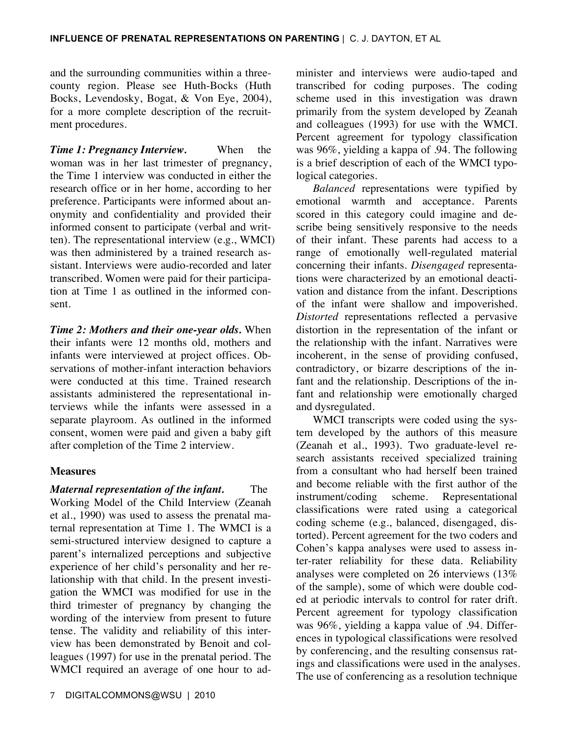and the surrounding communities within a threecounty region. Please see Huth-Bocks (Huth Bocks, Levendosky, Bogat, & Von Eye, 2004), for a more complete description of the recruitment procedures.

*Time 1: Pregnancy Interview.* When the woman was in her last trimester of pregnancy, the Time 1 interview was conducted in either the research office or in her home, according to her preference. Participants were informed about anonymity and confidentiality and provided their informed consent to participate (verbal and written). The representational interview (e.g., WMCI) was then administered by a trained research assistant. Interviews were audio-recorded and later transcribed. Women were paid for their participation at Time 1 as outlined in the informed consent.

*Time 2: Mothers and their one-year olds.* When their infants were 12 months old, mothers and infants were interviewed at project offices. Observations of mother-infant interaction behaviors were conducted at this time. Trained research assistants administered the representational interviews while the infants were assessed in a separate playroom. As outlined in the informed consent, women were paid and given a baby gift after completion of the Time 2 interview.

# **Measures**

*Maternal representation of the infant.* The Working Model of the Child Interview (Zeanah et al., 1990) was used to assess the prenatal maternal representation at Time 1. The WMCI is a semi-structured interview designed to capture a parent's internalized perceptions and subjective experience of her child's personality and her relationship with that child. In the present investigation the WMCI was modified for use in the third trimester of pregnancy by changing the wording of the interview from present to future tense. The validity and reliability of this interview has been demonstrated by Benoit and colleagues (1997) for use in the prenatal period. The WMCI required an average of one hour to administer and interviews were audio-taped and transcribed for coding purposes. The coding scheme used in this investigation was drawn primarily from the system developed by Zeanah and colleagues (1993) for use with the WMCI. Percent agreement for typology classification was 96%, yielding a kappa of .94. The following is a brief description of each of the WMCI typological categories.

*Balanced* representations were typified by emotional warmth and acceptance. Parents scored in this category could imagine and describe being sensitively responsive to the needs of their infant. These parents had access to a range of emotionally well-regulated material concerning their infants. *Disengaged* representations were characterized by an emotional deactivation and distance from the infant. Descriptions of the infant were shallow and impoverished. *Distorted* representations reflected a pervasive distortion in the representation of the infant or the relationship with the infant. Narratives were incoherent, in the sense of providing confused, contradictory, or bizarre descriptions of the infant and the relationship. Descriptions of the infant and relationship were emotionally charged and dysregulated.

WMCI transcripts were coded using the system developed by the authors of this measure (Zeanah et al., 1993). Two graduate-level research assistants received specialized training from a consultant who had herself been trained and become reliable with the first author of the instrument/coding scheme. Representational classifications were rated using a categorical coding scheme (e.g., balanced, disengaged, distorted). Percent agreement for the two coders and Cohen's kappa analyses were used to assess inter-rater reliability for these data. Reliability analyses were completed on 26 interviews (13% of the sample), some of which were double coded at periodic intervals to control for rater drift. Percent agreement for typology classification was 96%, yielding a kappa value of .94. Differences in typological classifications were resolved by conferencing, and the resulting consensus ratings and classifications were used in the analyses. The use of conferencing as a resolution technique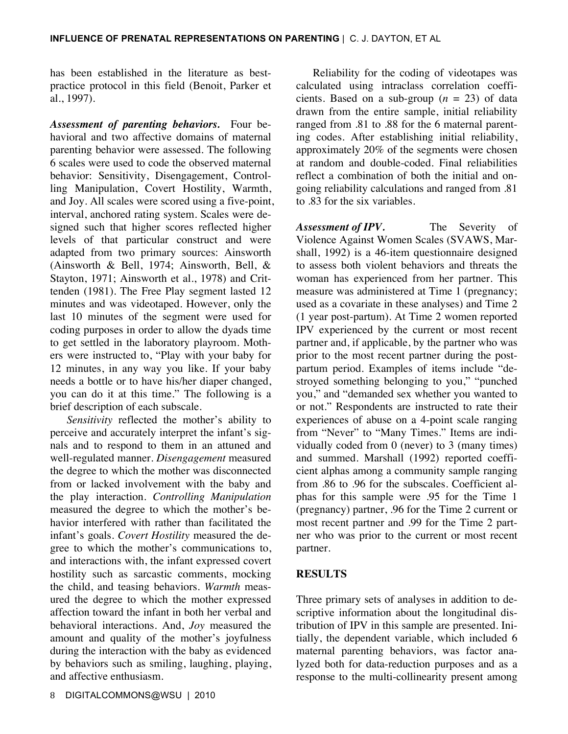has been established in the literature as bestpractice protocol in this field (Benoit, Parker et al., 1997).

*Assessment of parenting behaviors.* Four behavioral and two affective domains of maternal parenting behavior were assessed. The following 6 scales were used to code the observed maternal behavior: Sensitivity, Disengagement, Controlling Manipulation, Covert Hostility, Warmth, and Joy. All scales were scored using a five-point, interval, anchored rating system. Scales were designed such that higher scores reflected higher levels of that particular construct and were adapted from two primary sources: Ainsworth (Ainsworth & Bell, 1974; Ainsworth, Bell, & Stayton, 1971; Ainsworth et al., 1978) and Crittenden (1981). The Free Play segment lasted 12 minutes and was videotaped. However, only the last 10 minutes of the segment were used for coding purposes in order to allow the dyads time to get settled in the laboratory playroom. Mothers were instructed to, "Play with your baby for 12 minutes, in any way you like. If your baby needs a bottle or to have his/her diaper changed, you can do it at this time." The following is a brief description of each subscale.

*Sensitivity* reflected the mother's ability to perceive and accurately interpret the infant's signals and to respond to them in an attuned and well-regulated manner. *Disengagement* measured the degree to which the mother was disconnected from or lacked involvement with the baby and the play interaction. *Controlling Manipulation*  measured the degree to which the mother's behavior interfered with rather than facilitated the infant's goals. *Covert Hostility* measured the degree to which the mother's communications to, and interactions with, the infant expressed covert hostility such as sarcastic comments, mocking the child, and teasing behaviors. *Warmth* measured the degree to which the mother expressed affection toward the infant in both her verbal and behavioral interactions. And, *Joy* measured the amount and quality of the mother's joyfulness during the interaction with the baby as evidenced by behaviors such as smiling, laughing, playing, and affective enthusiasm.

Reliability for the coding of videotapes was calculated using intraclass correlation coefficients. Based on a sub-group  $(n = 23)$  of data drawn from the entire sample, initial reliability ranged from .81 to .88 for the 6 maternal parenting codes. After establishing initial reliability, approximately 20% of the segments were chosen at random and double-coded. Final reliabilities reflect a combination of both the initial and ongoing reliability calculations and ranged from .81 to .83 for the six variables.

*Assessment of IPV.* The Severity of Violence Against Women Scales (SVAWS, Marshall, 1992) is a 46-item questionnaire designed to assess both violent behaviors and threats the woman has experienced from her partner. This measure was administered at Time 1 (pregnancy; used as a covariate in these analyses) and Time 2 (1 year post-partum). At Time 2 women reported IPV experienced by the current or most recent partner and, if applicable, by the partner who was prior to the most recent partner during the postpartum period. Examples of items include "destroyed something belonging to you," "punched you," and "demanded sex whether you wanted to or not." Respondents are instructed to rate their experiences of abuse on a 4-point scale ranging from "Never" to "Many Times." Items are individually coded from 0 (never) to 3 (many times) and summed. Marshall (1992) reported coefficient alphas among a community sample ranging from .86 to .96 for the subscales. Coefficient alphas for this sample were .95 for the Time 1 (pregnancy) partner, .96 for the Time 2 current or most recent partner and .99 for the Time 2 partner who was prior to the current or most recent partner.

# **RESULTS**

Three primary sets of analyses in addition to descriptive information about the longitudinal distribution of IPV in this sample are presented. Initially, the dependent variable, which included 6 maternal parenting behaviors, was factor analyzed both for data-reduction purposes and as a response to the multi-collinearity present among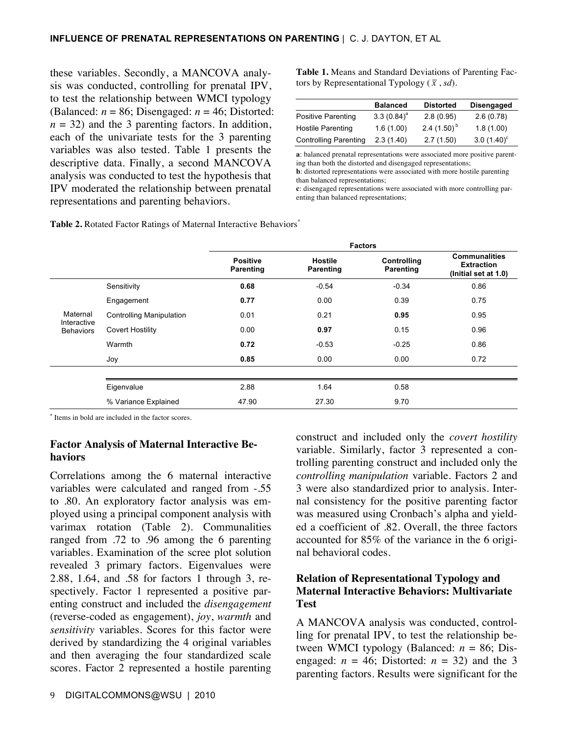these variables. Secondly, a MANCOVA analysis was conducted, controlling for prenatal IPV, to test the relationship between WMCI typology (Balanced:  $n = 86$ ; Disengaged:  $n = 46$ ; Distorted:  $n = 32$ ) and the 3 parenting factors. In addition, each of the univariate tests for the 3 parenting variables was also tested. Table 1 presents the descriptive data. Finally, a second MANCOVA analysis was conducted to test the hypothesis that IPV moderated the relationship between prenatal representations and parenting behaviors.

**Table 1.** Means and Standard Deviations of Parenting Factors by Representational Typology  $(\bar{x}, sd)$ .

|                              | <b>Balanced</b> | <b>Distorted</b> | <b>Disengaged</b> |
|------------------------------|-----------------|------------------|-------------------|
| Positive Parenting           | 3.3 $(0.84)^a$  | 2.8(0.95)        | 2.6(0.78)         |
| <b>Hostile Parenting</b>     | 1.6(1.00)       | 2.4 $(1.50)^{b}$ | 1.8(1.00)         |
| <b>Controlling Parenting</b> | 2.3(1.40)       | 2.7(1.50)        | $3.0(1.40)^c$     |

**a**: balanced prenatal representations were associated more positive parenting than both the distorted and disengaged representations;

**b**: distorted representations were associated with more hostile parenting than balanced representations;

**c**: disengaged representations were associated with more controlling parenting than balanced representations;

Table 2. Rotated Factor Ratings of Maternal Interactive Behaviors<sup>\*</sup>

|                                 |                                 | <b>Factors</b>               |                             |                          |                                                                   |  |
|---------------------------------|---------------------------------|------------------------------|-----------------------------|--------------------------|-------------------------------------------------------------------|--|
|                                 |                                 | <b>Positive</b><br>Parenting | <b>Hostile</b><br>Parenting | Controlling<br>Parenting | <b>Communalities</b><br><b>Extraction</b><br>(Initial set at 1.0) |  |
|                                 | Sensitivity                     | 0.68                         | $-0.54$                     | $-0.34$                  | 0.86                                                              |  |
|                                 | Engagement                      | 0.77                         | 0.00                        | 0.39                     | 0.75                                                              |  |
| Maternal                        | <b>Controlling Manipulation</b> | 0.01                         | 0.21                        | 0.95                     | 0.95                                                              |  |
| Interactive<br><b>Behaviors</b> | <b>Covert Hostility</b>         | 0.00                         | 0.97                        | 0.15                     | 0.96                                                              |  |
|                                 | Warmth                          | 0.72                         | $-0.53$                     | $-0.25$                  | 0.86                                                              |  |
|                                 | Joy                             | 0.85                         | 0.00                        | 0.00                     | 0.72                                                              |  |
|                                 |                                 |                              |                             |                          |                                                                   |  |
|                                 | Eigenvalue                      | 2.88                         | 1.64                        | 0.58                     |                                                                   |  |
|                                 | % Variance Explained            | 47.90                        | 27.30                       | 9.70                     |                                                                   |  |

**\*** Items in bold are included in the factor scores.

# **Factor Analysis of Maternal Interactive Behaviors**

Correlations among the 6 maternal interactive variables were calculated and ranged from -.55 to .80. An exploratory factor analysis was employed using a principal component analysis with varimax rotation (Table 2). Communalities ranged from .72 to .96 among the 6 parenting variables. Examination of the scree plot solution revealed 3 primary factors. Eigenvalues were 2.88, 1.64, and .58 for factors 1 through 3, respectively. Factor 1 represented a positive parenting construct and included the *disengagement* (reverse-coded as engagement), *joy*, *warmth* and *sensitivity* variables. Scores for this factor were derived by standardizing the 4 original variables and then averaging the four standardized scale scores. Factor 2 represented a hostile parenting

construct and included only the *covert hostility* variable. Similarly, factor 3 represented a controlling parenting construct and included only the *controlling manipulation* variable. Factors 2 and 3 were also standardized prior to analysis. Internal consistency for the positive parenting factor was measured using Cronbach's alpha and yielded a coefficient of .82. Overall, the three factors accounted for 85% of the variance in the 6 original behavioral codes.

#### **Relation of Representational Typology and Maternal Interactive Behaviors: Multivariate Test**

A MANCOVA analysis was conducted, controlling for prenatal IPV, to test the relationship between WMCI typology (Balanced:  $n = 86$ ; Disengaged:  $n = 46$ ; Distorted:  $n = 32$ ) and the 3 parenting factors. Results were significant for the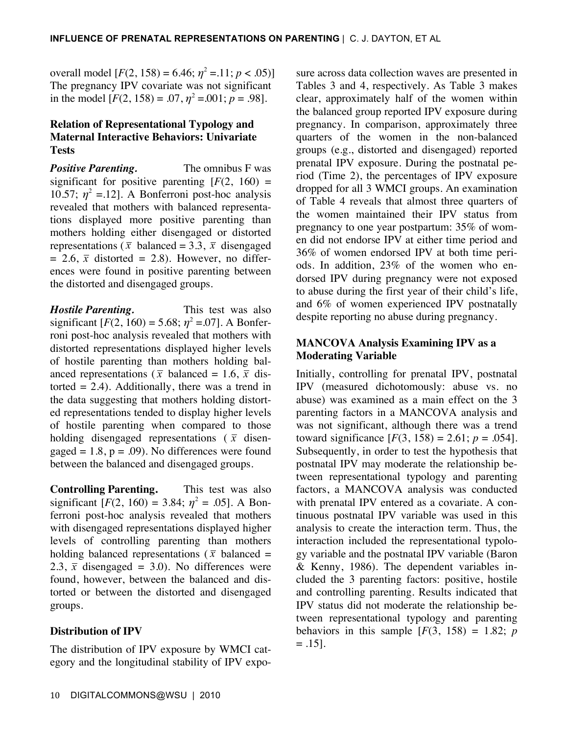overall model  $[F(2, 158) = 6.46; \eta^2 = .11; p < .05]$ The pregnancy IPV covariate was not significant in the model  $[F(2, 158) = .07, \eta^2 = .001; p = .98]$ .

#### **Relation of Representational Typology and Maternal Interactive Behaviors: Univariate Tests**

*Positive Parenting.* The omnibus F was significant for positive parenting  $[F(2, 160) =$ 10.57;  $\eta^2$  =.12]. A Bonferroni post-hoc analysis revealed that mothers with balanced representations displayed more positive parenting than mothers holding either disengaged or distorted representations ( $\overline{x}$  balanced = 3.3,  $\overline{x}$  disengaged  $= 2.6$ ,  $\overline{x}$  distorted  $= 2.8$ ). However, no differences were found in positive parenting between the distorted and disengaged groups.

*Hostile Parenting.* This test was also significant  $[F(2, 160) = 5.68; \eta^2 = .07]$ . A Bonferroni post-hoc analysis revealed that mothers with distorted representations displayed higher levels of hostile parenting than mothers holding balanced representations ( $\overline{x}$  balanced = 1.6,  $\overline{x}$  distorted  $= 2.4$ ). Additionally, there was a trend in the data suggesting that mothers holding distorted representations tended to display higher levels of hostile parenting when compared to those holding disengaged representations ( $\bar{x}$  disengaged =  $1.8$ ,  $p = .09$ ). No differences were found between the balanced and disengaged groups.

**Controlling Parenting.** This test was also significant  $[F(2, 160) = 3.84; \eta^2 = .05]$ . A Bonferroni post-hoc analysis revealed that mothers with disengaged representations displayed higher levels of controlling parenting than mothers holding balanced representations ( $\bar{x}$  balanced = 2.3,  $\bar{x}$  disengaged = 3.0). No differences were found, however, between the balanced and distorted or between the distorted and disengaged groups.

# **Distribution of IPV**

The distribution of IPV exposure by WMCI category and the longitudinal stability of IPV exposure across data collection waves are presented in Tables 3 and 4, respectively. As Table 3 makes clear, approximately half of the women within the balanced group reported IPV exposure during pregnancy. In comparison, approximately three quarters of the women in the non-balanced groups (e.g., distorted and disengaged) reported prenatal IPV exposure. During the postnatal period (Time 2), the percentages of IPV exposure dropped for all 3 WMCI groups. An examination of Table 4 reveals that almost three quarters of the women maintained their IPV status from pregnancy to one year postpartum: 35% of women did not endorse IPV at either time period and 36% of women endorsed IPV at both time periods. In addition, 23% of the women who endorsed IPV during pregnancy were not exposed to abuse during the first year of their child's life, and 6% of women experienced IPV postnatally despite reporting no abuse during pregnancy.

#### **MANCOVA Analysis Examining IPV as a Moderating Variable**

Initially, controlling for prenatal IPV, postnatal IPV (measured dichotomously: abuse vs. no abuse) was examined as a main effect on the 3 parenting factors in a MANCOVA analysis and was not significant, although there was a trend toward significance  $[F(3, 158) = 2.61; p = .054]$ . Subsequently, in order to test the hypothesis that postnatal IPV may moderate the relationship between representational typology and parenting factors, a MANCOVA analysis was conducted with prenatal IPV entered as a covariate. A continuous postnatal IPV variable was used in this analysis to create the interaction term. Thus, the interaction included the representational typology variable and the postnatal IPV variable (Baron & Kenny, 1986). The dependent variables included the 3 parenting factors: positive, hostile and controlling parenting. Results indicated that IPV status did not moderate the relationship between representational typology and parenting behaviors in this sample  $[F(3, 158) = 1.82; p$  $= .15$ ].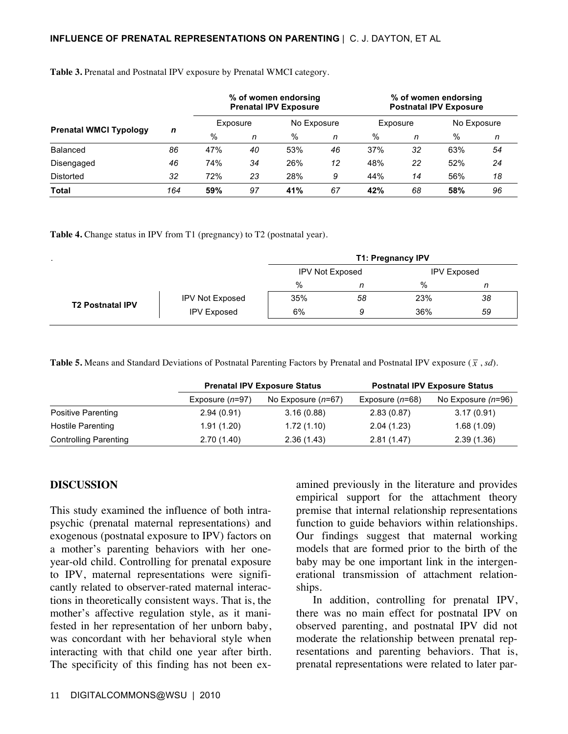#### **INFLUENCE OF PRENATAL REPRESENTATIONS ON PARENTING** | C. J. DAYTON, ET AL

|                               |     | % of women endorsing<br><b>Prenatal IPV Exposure</b> |    |             |    | % of women endorsing<br><b>Postnatal IPV Exposure</b> |    |             |    |
|-------------------------------|-----|------------------------------------------------------|----|-------------|----|-------------------------------------------------------|----|-------------|----|
| <b>Prenatal WMCI Typology</b> | n   | Exposure                                             |    | No Exposure |    | Exposure                                              |    | No Exposure |    |
|                               |     | $\%$                                                 | n  | %           | n  | %                                                     | n  | %           | n  |
| Balanced                      | 86  | 47%                                                  | 40 | 53%         | 46 | 37%                                                   | 32 | 63%         | 54 |
| Disengaged                    | 46  | 74%                                                  | 34 | 26%         | 12 | 48%                                                   | 22 | 52%         | 24 |
| <b>Distorted</b>              | 32  | 72%                                                  | 23 | 28%         | 9  | 44%                                                   | 14 | 56%         | 18 |
| <b>Total</b>                  | 164 | 59%                                                  | 97 | 41%         | 67 | 42%                                                   | 68 | 58%         | 96 |

**Table 3.** Prenatal and Postnatal IPV exposure by Prenatal WMCI category.

Table 4. Change status in IPV from T1 (pregnancy) to T2 (postnatal year).

| $\bullet$               |                        | <b>T1: Pregnancy IPV</b>                     |    |     |    |  |
|-------------------------|------------------------|----------------------------------------------|----|-----|----|--|
|                         |                        | <b>IPV Not Exposed</b><br><b>IPV Exposed</b> |    |     |    |  |
|                         |                        | $\%$                                         | n  | %   | n  |  |
| <b>T2 Postnatal IPV</b> | <b>IPV Not Exposed</b> | 35%                                          | 58 | 23% | 38 |  |
|                         | <b>IPV Exposed</b>     | 6%                                           | 9  | 36% | 59 |  |
|                         |                        |                                              |    |     |    |  |

**Table 5.** Means and Standard Deviations of Postnatal Parenting Factors by Prenatal and Postnatal IPV exposure ( *x* , *sd*).

|                              |                   | <b>Prenatal IPV Exposure Status</b>       | <b>Postnatal IPV Exposure Status</b> |                    |  |
|------------------------------|-------------------|-------------------------------------------|--------------------------------------|--------------------|--|
|                              | Exposure $(n=97)$ | No Exposure $(n=67)$<br>Exposure $(n=68)$ |                                      | No Exposure (n=96) |  |
| Positive Parenting           | 2.94(0.91)        | 3.16(0.88)                                | 2.83(0.87)                           | 3.17(0.91)         |  |
| Hostile Parenting            | 1.91(1.20)        | 1.72(1.10)                                | 2.04(1.23)                           | 1.68(1.09)         |  |
| <b>Controlling Parenting</b> | 2.70(1.40)        | 2.36(1.43)                                | 2.81(1.47)                           | 2.39(1.36)         |  |

#### **DISCUSSION**

This study examined the influence of both intrapsychic (prenatal maternal representations) and exogenous (postnatal exposure to IPV) factors on a mother's parenting behaviors with her oneyear-old child. Controlling for prenatal exposure to IPV, maternal representations were significantly related to observer-rated maternal interactions in theoretically consistent ways. That is, the mother's affective regulation style, as it manifested in her representation of her unborn baby, was concordant with her behavioral style when interacting with that child one year after birth. The specificity of this finding has not been examined previously in the literature and provides empirical support for the attachment theory premise that internal relationship representations function to guide behaviors within relationships. Our findings suggest that maternal working models that are formed prior to the birth of the baby may be one important link in the intergenerational transmission of attachment relationships.

In addition, controlling for prenatal IPV, there was no main effect for postnatal IPV on observed parenting, and postnatal IPV did not moderate the relationship between prenatal representations and parenting behaviors. That is, prenatal representations were related to later par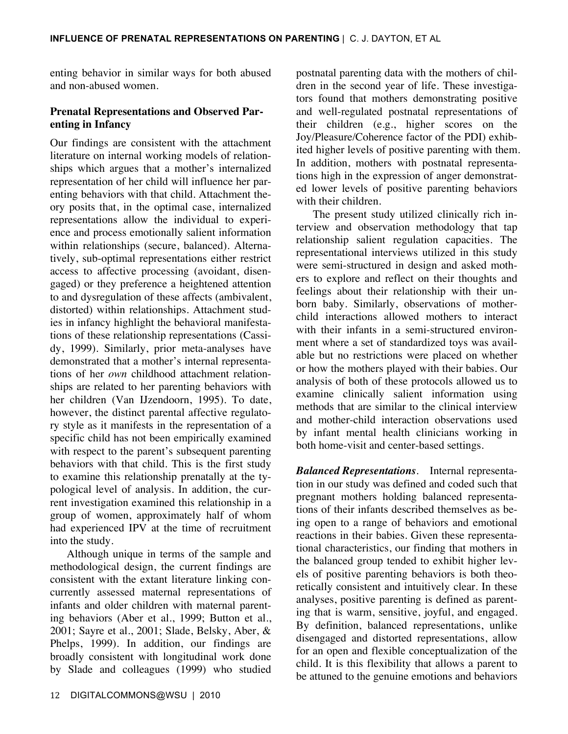enting behavior in similar ways for both abused and non-abused women.

#### **Prenatal Representations and Observed Parenting in Infancy**

Our findings are consistent with the attachment literature on internal working models of relationships which argues that a mother's internalized representation of her child will influence her parenting behaviors with that child. Attachment theory posits that, in the optimal case, internalized representations allow the individual to experience and process emotionally salient information within relationships (secure, balanced). Alternatively, sub-optimal representations either restrict access to affective processing (avoidant, disengaged) or they preference a heightened attention to and dysregulation of these affects (ambivalent, distorted) within relationships. Attachment studies in infancy highlight the behavioral manifestations of these relationship representations (Cassidy, 1999). Similarly, prior meta-analyses have demonstrated that a mother's internal representations of her *own* childhood attachment relationships are related to her parenting behaviors with her children (Van IJzendoorn, 1995). To date, however, the distinct parental affective regulatory style as it manifests in the representation of a specific child has not been empirically examined with respect to the parent's subsequent parenting behaviors with that child. This is the first study to examine this relationship prenatally at the typological level of analysis. In addition, the current investigation examined this relationship in a group of women, approximately half of whom had experienced IPV at the time of recruitment into the study.

Although unique in terms of the sample and methodological design, the current findings are consistent with the extant literature linking concurrently assessed maternal representations of infants and older children with maternal parenting behaviors (Aber et al., 1999; Button et al., 2001; Sayre et al., 2001; Slade, Belsky, Aber, & Phelps, 1999). In addition, our findings are broadly consistent with longitudinal work done by Slade and colleagues (1999) who studied postnatal parenting data with the mothers of children in the second year of life. These investigators found that mothers demonstrating positive and well-regulated postnatal representations of their children (e.g., higher scores on the Joy/Pleasure/Coherence factor of the PDI) exhibited higher levels of positive parenting with them. In addition, mothers with postnatal representations high in the expression of anger demonstrated lower levels of positive parenting behaviors with their children.

The present study utilized clinically rich interview and observation methodology that tap relationship salient regulation capacities. The representational interviews utilized in this study were semi-structured in design and asked mothers to explore and reflect on their thoughts and feelings about their relationship with their unborn baby. Similarly, observations of motherchild interactions allowed mothers to interact with their infants in a semi-structured environment where a set of standardized toys was available but no restrictions were placed on whether or how the mothers played with their babies. Our analysis of both of these protocols allowed us to examine clinically salient information using methods that are similar to the clinical interview and mother-child interaction observations used by infant mental health clinicians working in both home-visit and center-based settings.

*Balanced Representations*. Internal representation in our study was defined and coded such that pregnant mothers holding balanced representations of their infants described themselves as being open to a range of behaviors and emotional reactions in their babies. Given these representational characteristics, our finding that mothers in the balanced group tended to exhibit higher levels of positive parenting behaviors is both theoretically consistent and intuitively clear. In these analyses, positive parenting is defined as parenting that is warm, sensitive, joyful, and engaged. By definition, balanced representations, unlike disengaged and distorted representations, allow for an open and flexible conceptualization of the child. It is this flexibility that allows a parent to be attuned to the genuine emotions and behaviors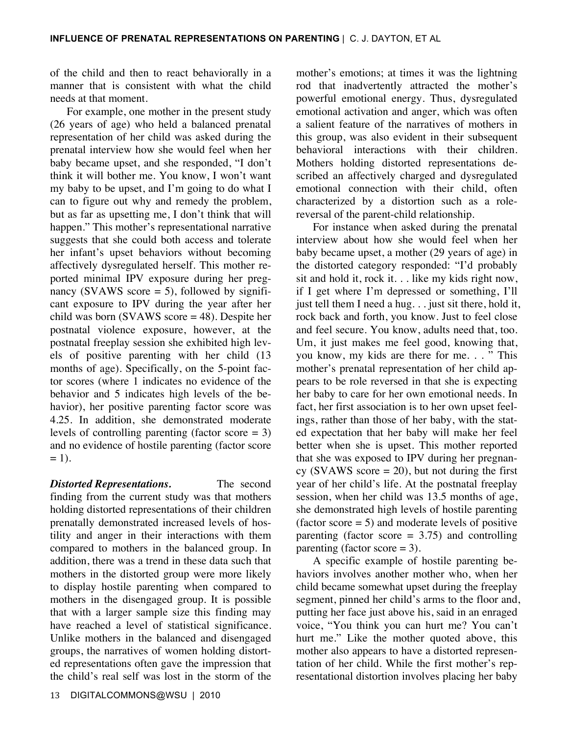of the child and then to react behaviorally in a manner that is consistent with what the child needs at that moment.

For example, one mother in the present study (26 years of age) who held a balanced prenatal representation of her child was asked during the prenatal interview how she would feel when her baby became upset, and she responded, "I don't think it will bother me. You know, I won't want my baby to be upset, and I'm going to do what I can to figure out why and remedy the problem, but as far as upsetting me, I don't think that will happen." This mother's representational narrative suggests that she could both access and tolerate her infant's upset behaviors without becoming affectively dysregulated herself. This mother reported minimal IPV exposure during her pregnancy (SVAWS score  $=$  5), followed by significant exposure to IPV during the year after her child was born (SVAWS score = 48). Despite her postnatal violence exposure, however, at the postnatal freeplay session she exhibited high levels of positive parenting with her child (13 months of age). Specifically, on the 5-point factor scores (where 1 indicates no evidence of the behavior and 5 indicates high levels of the behavior), her positive parenting factor score was 4.25. In addition, she demonstrated moderate levels of controlling parenting (factor score = 3) and no evidence of hostile parenting (factor score  $= 1$ ).

*Distorted Representations.* The second finding from the current study was that mothers holding distorted representations of their children prenatally demonstrated increased levels of hostility and anger in their interactions with them compared to mothers in the balanced group. In addition, there was a trend in these data such that mothers in the distorted group were more likely to display hostile parenting when compared to mothers in the disengaged group. It is possible that with a larger sample size this finding may have reached a level of statistical significance. Unlike mothers in the balanced and disengaged groups, the narratives of women holding distorted representations often gave the impression that the child's real self was lost in the storm of the mother's emotions; at times it was the lightning rod that inadvertently attracted the mother's powerful emotional energy. Thus, dysregulated emotional activation and anger, which was often a salient feature of the narratives of mothers in this group, was also evident in their subsequent behavioral interactions with their children. Mothers holding distorted representations described an affectively charged and dysregulated emotional connection with their child, often characterized by a distortion such as a rolereversal of the parent-child relationship.

For instance when asked during the prenatal interview about how she would feel when her baby became upset, a mother (29 years of age) in the distorted category responded: "I'd probably sit and hold it, rock it. . . like my kids right now, if I get where I'm depressed or something, I'll just tell them I need a hug. . . just sit there, hold it, rock back and forth, you know. Just to feel close and feel secure. You know, adults need that, too. Um, it just makes me feel good, knowing that, you know, my kids are there for me. . . " This mother's prenatal representation of her child appears to be role reversed in that she is expecting her baby to care for her own emotional needs. In fact, her first association is to her own upset feelings, rather than those of her baby, with the stated expectation that her baby will make her feel better when she is upset. This mother reported that she was exposed to IPV during her pregnancy (SVAWS score  $= 20$ ), but not during the first year of her child's life. At the postnatal freeplay session, when her child was 13.5 months of age, she demonstrated high levels of hostile parenting  $(factor score = 5)$  and moderate levels of positive parenting (factor score  $= 3.75$ ) and controlling parenting (factor score  $= 3$ ).

A specific example of hostile parenting behaviors involves another mother who, when her child became somewhat upset during the freeplay segment, pinned her child's arms to the floor and, putting her face just above his, said in an enraged voice, "You think you can hurt me? You can't hurt me." Like the mother quoted above, this mother also appears to have a distorted representation of her child. While the first mother's representational distortion involves placing her baby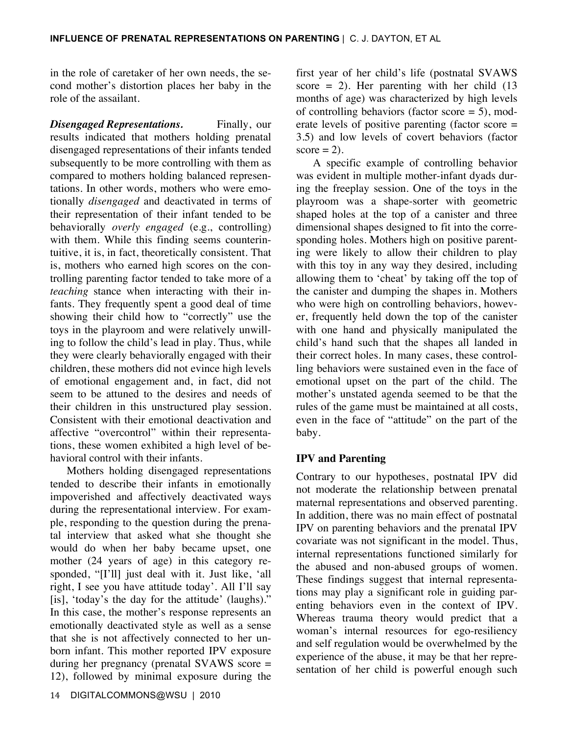in the role of caretaker of her own needs, the second mother's distortion places her baby in the role of the assailant.

*Disengaged Representations.* Finally, our results indicated that mothers holding prenatal disengaged representations of their infants tended subsequently to be more controlling with them as compared to mothers holding balanced representations. In other words, mothers who were emotionally *disengaged* and deactivated in terms of their representation of their infant tended to be behaviorally *overly engaged* (e.g., controlling) with them. While this finding seems counterintuitive, it is, in fact, theoretically consistent. That is, mothers who earned high scores on the controlling parenting factor tended to take more of a *teaching* stance when interacting with their infants. They frequently spent a good deal of time showing their child how to "correctly" use the toys in the playroom and were relatively unwilling to follow the child's lead in play. Thus, while they were clearly behaviorally engaged with their children, these mothers did not evince high levels of emotional engagement and, in fact, did not seem to be attuned to the desires and needs of their children in this unstructured play session. Consistent with their emotional deactivation and affective "overcontrol" within their representations, these women exhibited a high level of behavioral control with their infants.

Mothers holding disengaged representations tended to describe their infants in emotionally impoverished and affectively deactivated ways during the representational interview. For example, responding to the question during the prenatal interview that asked what she thought she would do when her baby became upset, one mother (24 years of age) in this category responded, "[I'll] just deal with it. Just like, 'all right, I see you have attitude today'. All I'll say [is], 'today's the day for the attitude' (laughs)." In this case, the mother's response represents an emotionally deactivated style as well as a sense that she is not affectively connected to her unborn infant. This mother reported IPV exposure during her pregnancy (prenatal SVAWS score = 12), followed by minimal exposure during the first year of her child's life (postnatal SVAWS score  $= 2$ ). Her parenting with her child  $(13)$ months of age) was characterized by high levels of controlling behaviors (factor score  $= 5$ ), moderate levels of positive parenting (factor score = 3.5) and low levels of covert behaviors (factor  $score = 2$ ).

A specific example of controlling behavior was evident in multiple mother-infant dyads during the freeplay session. One of the toys in the playroom was a shape-sorter with geometric shaped holes at the top of a canister and three dimensional shapes designed to fit into the corresponding holes. Mothers high on positive parenting were likely to allow their children to play with this toy in any way they desired, including allowing them to 'cheat' by taking off the top of the canister and dumping the shapes in. Mothers who were high on controlling behaviors, however, frequently held down the top of the canister with one hand and physically manipulated the child's hand such that the shapes all landed in their correct holes. In many cases, these controlling behaviors were sustained even in the face of emotional upset on the part of the child. The mother's unstated agenda seemed to be that the rules of the game must be maintained at all costs, even in the face of "attitude" on the part of the baby.

#### **IPV and Parenting**

Contrary to our hypotheses, postnatal IPV did not moderate the relationship between prenatal maternal representations and observed parenting. In addition, there was no main effect of postnatal IPV on parenting behaviors and the prenatal IPV covariate was not significant in the model. Thus, internal representations functioned similarly for the abused and non-abused groups of women. These findings suggest that internal representations may play a significant role in guiding parenting behaviors even in the context of IPV. Whereas trauma theory would predict that a woman's internal resources for ego-resiliency and self regulation would be overwhelmed by the experience of the abuse, it may be that her representation of her child is powerful enough such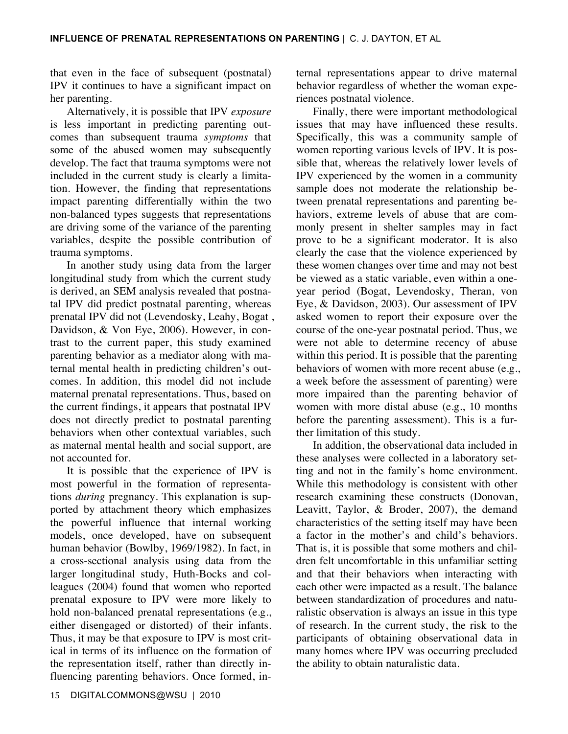that even in the face of subsequent (postnatal) IPV it continues to have a significant impact on her parenting.

Alternatively, it is possible that IPV *exposure* is less important in predicting parenting outcomes than subsequent trauma *symptoms* that some of the abused women may subsequently develop. The fact that trauma symptoms were not included in the current study is clearly a limitation. However, the finding that representations impact parenting differentially within the two non-balanced types suggests that representations are driving some of the variance of the parenting variables, despite the possible contribution of trauma symptoms.

In another study using data from the larger longitudinal study from which the current study is derived, an SEM analysis revealed that postnatal IPV did predict postnatal parenting, whereas prenatal IPV did not (Levendosky, Leahy, Bogat , Davidson, & Von Eye, 2006). However, in contrast to the current paper, this study examined parenting behavior as a mediator along with maternal mental health in predicting children's outcomes. In addition, this model did not include maternal prenatal representations. Thus, based on the current findings, it appears that postnatal IPV does not directly predict to postnatal parenting behaviors when other contextual variables, such as maternal mental health and social support, are not accounted for.

It is possible that the experience of IPV is most powerful in the formation of representations *during* pregnancy. This explanation is supported by attachment theory which emphasizes the powerful influence that internal working models, once developed, have on subsequent human behavior (Bowlby, 1969/1982). In fact, in a cross-sectional analysis using data from the larger longitudinal study, Huth-Bocks and colleagues (2004) found that women who reported prenatal exposure to IPV were more likely to hold non-balanced prenatal representations (e.g., either disengaged or distorted) of their infants. Thus, it may be that exposure to IPV is most critical in terms of its influence on the formation of the representation itself, rather than directly influencing parenting behaviors. Once formed, internal representations appear to drive maternal behavior regardless of whether the woman experiences postnatal violence.

Finally, there were important methodological issues that may have influenced these results. Specifically, this was a community sample of women reporting various levels of IPV. It is possible that, whereas the relatively lower levels of IPV experienced by the women in a community sample does not moderate the relationship between prenatal representations and parenting behaviors, extreme levels of abuse that are commonly present in shelter samples may in fact prove to be a significant moderator. It is also clearly the case that the violence experienced by these women changes over time and may not best be viewed as a static variable, even within a oneyear period (Bogat, Levendosky, Theran, von Eye, & Davidson, 2003). Our assessment of IPV asked women to report their exposure over the course of the one-year postnatal period. Thus, we were not able to determine recency of abuse within this period. It is possible that the parenting behaviors of women with more recent abuse (e.g., a week before the assessment of parenting) were more impaired than the parenting behavior of women with more distal abuse (e.g., 10 months before the parenting assessment). This is a further limitation of this study.

In addition, the observational data included in these analyses were collected in a laboratory setting and not in the family's home environment. While this methodology is consistent with other research examining these constructs (Donovan, Leavitt, Taylor, & Broder, 2007), the demand characteristics of the setting itself may have been a factor in the mother's and child's behaviors. That is, it is possible that some mothers and children felt uncomfortable in this unfamiliar setting and that their behaviors when interacting with each other were impacted as a result. The balance between standardization of procedures and naturalistic observation is always an issue in this type of research. In the current study, the risk to the participants of obtaining observational data in many homes where IPV was occurring precluded the ability to obtain naturalistic data.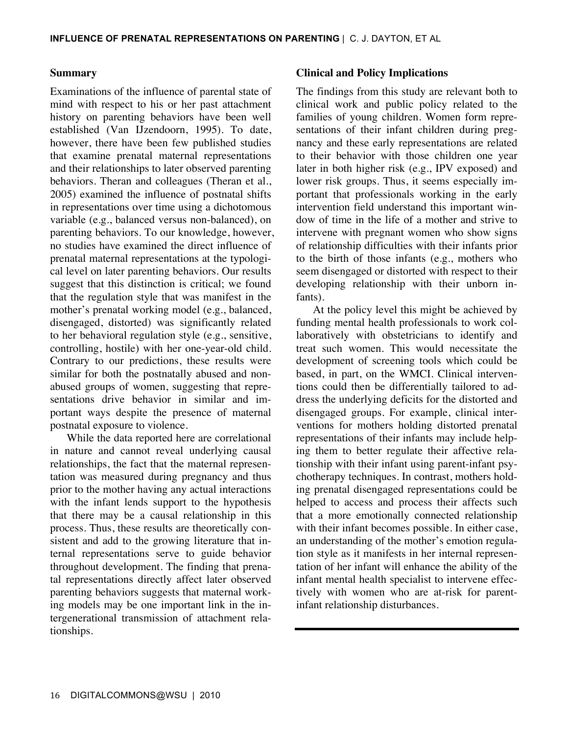#### **Summary**

Examinations of the influence of parental state of mind with respect to his or her past attachment history on parenting behaviors have been well established (Van IJzendoorn, 1995). To date, however, there have been few published studies that examine prenatal maternal representations and their relationships to later observed parenting behaviors. Theran and colleagues (Theran et al., 2005) examined the influence of postnatal shifts in representations over time using a dichotomous variable (e.g., balanced versus non-balanced), on parenting behaviors. To our knowledge, however, no studies have examined the direct influence of prenatal maternal representations at the typological level on later parenting behaviors. Our results suggest that this distinction is critical; we found that the regulation style that was manifest in the mother's prenatal working model (e.g., balanced, disengaged, distorted) was significantly related to her behavioral regulation style (e.g., sensitive, controlling, hostile) with her one-year-old child. Contrary to our predictions, these results were similar for both the postnatally abused and nonabused groups of women, suggesting that representations drive behavior in similar and important ways despite the presence of maternal postnatal exposure to violence.

While the data reported here are correlational in nature and cannot reveal underlying causal relationships, the fact that the maternal representation was measured during pregnancy and thus prior to the mother having any actual interactions with the infant lends support to the hypothesis that there may be a causal relationship in this process. Thus, these results are theoretically consistent and add to the growing literature that internal representations serve to guide behavior throughout development. The finding that prenatal representations directly affect later observed parenting behaviors suggests that maternal working models may be one important link in the intergenerational transmission of attachment relationships.

#### **Clinical and Policy Implications**

The findings from this study are relevant both to clinical work and public policy related to the families of young children. Women form representations of their infant children during pregnancy and these early representations are related to their behavior with those children one year later in both higher risk (e.g., IPV exposed) and lower risk groups. Thus, it seems especially important that professionals working in the early intervention field understand this important window of time in the life of a mother and strive to intervene with pregnant women who show signs of relationship difficulties with their infants prior to the birth of those infants (e.g., mothers who seem disengaged or distorted with respect to their developing relationship with their unborn infants).

At the policy level this might be achieved by funding mental health professionals to work collaboratively with obstetricians to identify and treat such women. This would necessitate the development of screening tools which could be based, in part, on the WMCI. Clinical interventions could then be differentially tailored to address the underlying deficits for the distorted and disengaged groups. For example, clinical interventions for mothers holding distorted prenatal representations of their infants may include helping them to better regulate their affective relationship with their infant using parent-infant psychotherapy techniques. In contrast, mothers holding prenatal disengaged representations could be helped to access and process their affects such that a more emotionally connected relationship with their infant becomes possible. In either case, an understanding of the mother's emotion regulation style as it manifests in her internal representation of her infant will enhance the ability of the infant mental health specialist to intervene effectively with women who are at-risk for parentinfant relationship disturbances.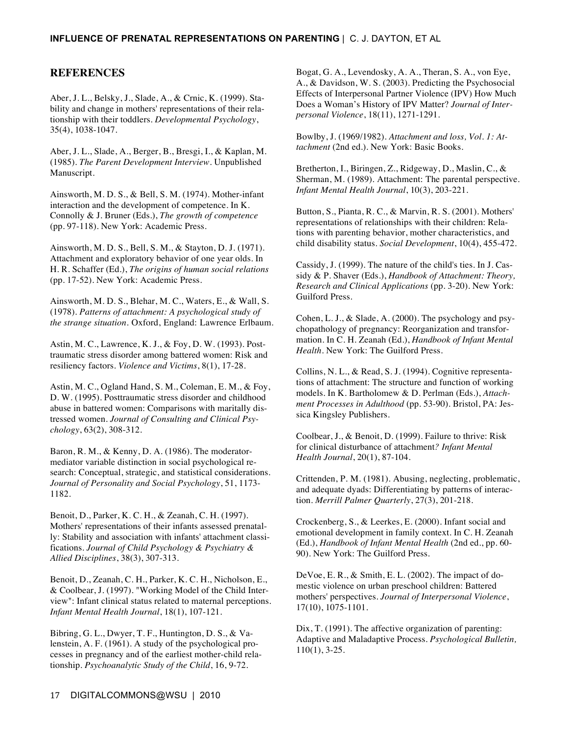#### **REFERENCES**

Aber, J. L., Belsky, J., Slade, A., & Crnic, K. (1999). Stability and change in mothers' representations of their relationship with their toddlers. *Developmental Psychology*, 35(4), 1038-1047.

Aber, J. L., Slade, A., Berger, B., Bresgi, I., & Kaplan, M. (1985). *The Parent Development Interview*. Unpublished Manuscript.

Ainsworth, M. D. S., & Bell, S. M. (1974). Mother-infant interaction and the development of competence. In K. Connolly & J. Bruner (Eds.), *The growth of competence*  (pp. 97-118). New York: Academic Press.

Ainsworth, M. D. S., Bell, S. M., & Stayton, D. J. (1971). Attachment and exploratory behavior of one year olds. In H. R. Schaffer (Ed.), *The origins of human social relations* (pp. 17-52). New York: Academic Press.

Ainsworth, M. D. S., Blehar, M. C., Waters, E., & Wall, S. (1978). *Patterns of attachment: A psychological study of the strange situation.* Oxford, England: Lawrence Erlbaum.

Astin, M. C., Lawrence, K. J., & Foy, D. W. (1993). Posttraumatic stress disorder among battered women: Risk and resiliency factors. *Violence and Victims*, 8(1), 17-28.

Astin, M. C., Ogland Hand, S. M., Coleman, E. M., & Foy, D. W. (1995). Posttraumatic stress disorder and childhood abuse in battered women: Comparisons with maritally distressed women. *Journal of Consulting and Clinical Psychology*, 63(2), 308-312.

Baron, R. M., & Kenny, D. A. (1986). The moderatormediator variable distinction in social psychological research: Conceptual, strategic, and statistical considerations. *Journal of Personality and Social Psychology*, 51, 1173- 1182.

Benoit, D., Parker, K. C. H., & Zeanah, C. H. (1997). Mothers' representations of their infants assessed prenatally: Stability and association with infants' attachment classifications. *Journal of Child Psychology & Psychiatry & Allied Disciplines*, 38(3), 307-313.

Benoit, D., Zeanah, C. H., Parker, K. C. H., Nicholson, E., & Coolbear, J. (1997). "Working Model of the Child Interview": Infant clinical status related to maternal perceptions. *Infant Mental Health Journal*, 18(1), 107-121.

Bibring, G. L., Dwyer, T. F., Huntington, D. S., & Valenstein, A. F. (1961). A study of the psychological processes in pregnancy and of the earliest mother-child relationship. *Psychoanalytic Study of the Child*, 16, 9-72.

Bogat, G. A., Levendosky, A. A., Theran, S. A., von Eye, A., & Davidson, W. S. (2003). Predicting the Psychosocial Effects of Interpersonal Partner Violence (IPV) How Much Does a Woman's History of IPV Matter? *Journal of Interpersonal Violence*, 18(11), 1271-1291.

Bowlby, J. (1969/1982). *Attachment and loss, Vol. 1: Attachment* (2nd ed.). New York: Basic Books.

Bretherton, I., Biringen, Z., Ridgeway, D., Maslin, C., & Sherman, M. (1989). Attachment: The parental perspective. *Infant Mental Health Journal*, 10(3), 203-221.

Button, S., Pianta, R. C., & Marvin, R. S. (2001). Mothers' representations of relationships with their children: Relations with parenting behavior, mother characteristics, and child disability status. *Social Development*, 10(4), 455-472.

Cassidy, J. (1999). The nature of the child's ties. In J. Cassidy & P. Shaver (Eds.), *Handbook of Attachment: Theory, Research and Clinical Applications* (pp. 3-20). New York: Guilford Press.

Cohen, L. J., & Slade, A. (2000). The psychology and psychopathology of pregnancy: Reorganization and transformation. In C. H. Zeanah (Ed.), *Handbook of Infant Mental Health.* New York: The Guilford Press.

Collins, N. L., & Read, S. J. (1994). Cognitive representations of attachment: The structure and function of working models. In K. Bartholomew & D. Perlman (Eds.), *Attachment Processes in Adulthood* (pp. 53-90). Bristol, PA: Jessica Kingsley Publishers.

Coolbear, J., & Benoit, D. (1999). Failure to thrive: Risk for clinical disturbance of attachment*? Infant Mental Health Journal*, 20(1), 87-104.

Crittenden, P. M. (1981). Abusing, neglecting, problematic, and adequate dyads: Differentiating by patterns of interaction. *Merrill Palmer Quarterly*, 27(3), 201-218.

Crockenberg, S., & Leerkes, E. (2000). Infant social and emotional development in family context. In C. H. Zeanah (Ed.), *Handbook of Infant Mental Health* (2nd ed., pp. 60- 90). New York: The Guilford Press.

DeVoe, E. R., & Smith, E. L. (2002). The impact of domestic violence on urban preschool children: Battered mothers' perspectives. *Journal of Interpersonal Violence*, 17(10), 1075-1101.

Dix, T. (1991). The affective organization of parenting: Adaptive and Maladaptive Process. *Psychological Bulletin,* 110(1), 3-25.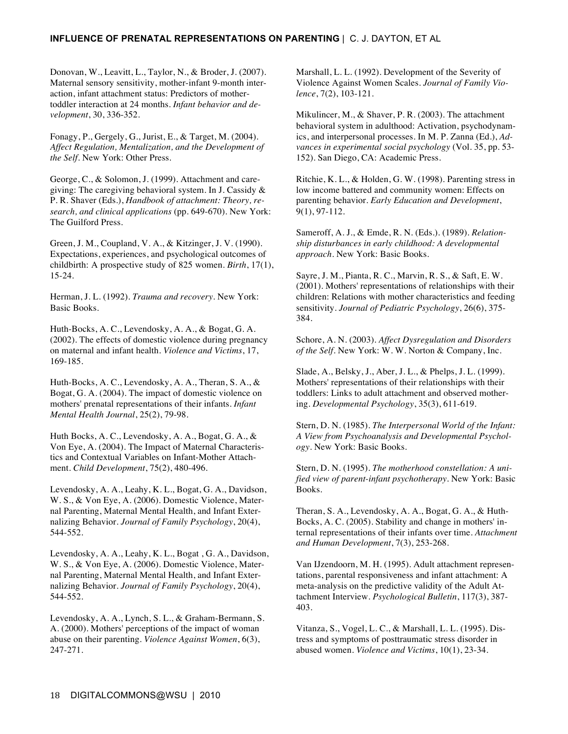#### **INFLUENCE OF PRENATAL REPRESENTATIONS ON PARENTING** | C. J. DAYTON, ET AL

Donovan, W., Leavitt, L., Taylor, N., & Broder, J. (2007). Maternal sensory sensitivity, mother-infant 9-month interaction, infant attachment status: Predictors of mothertoddler interaction at 24 months*. Infant behavior and development*, 30, 336-352.

Fonagy, P., Gergely, G., Jurist, E., & Target, M. (2004). *Affect Regulation, Mentalization, and the Development of the Self*. New York: Other Press.

George, C., & Solomon, J. (1999). Attachment and caregiving: The caregiving behavioral system. In J. Cassidy & P. R. Shaver (Eds.), *Handbook of attachment: Theory, research, and clinical applications* (pp. 649-670). New York: The Guilford Press.

Green, J. M., Coupland, V. A., & Kitzinger, J. V. (1990). Expectations, experiences, and psychological outcomes of childbirth: A prospective study of 825 women. *Birth*, 17(1), 15-24.

Herman, J. L. (1992). *Trauma and recovery*. New York: Basic Books.

Huth-Bocks, A. C., Levendosky, A. A., & Bogat, G. A. (2002). The effects of domestic violence during pregnancy on maternal and infant health. *Violence and Victims*, 17, 169-185.

Huth-Bocks, A. C., Levendosky, A. A., Theran, S. A., & Bogat, G. A. (2004). The impact of domestic violence on mothers' prenatal representations of their infants. *Infant Mental Health Journal*, 25(2), 79-98.

Huth Bocks, A. C., Levendosky, A. A., Bogat, G. A., & Von Eye, A. (2004). The Impact of Maternal Characteristics and Contextual Variables on Infant-Mother Attachment*. Child Development*, 75(2), 480-496.

Levendosky, A. A., Leahy, K. L., Bogat, G. A., Davidson, W. S., & Von Eye, A. (2006). Domestic Violence, Maternal Parenting, Maternal Mental Health, and Infant Externalizing Behavior. *Journal of Family Psychology*, 20(4), 544-552.

Levendosky, A. A., Leahy, K. L., Bogat , G. A., Davidson, W. S., & Von Eye, A. (2006). Domestic Violence, Maternal Parenting, Maternal Mental Health, and Infant Externalizing Behavior. *Journal of Family Psychology*, 20(4), 544-552.

Levendosky, A. A., Lynch, S. L., & Graham-Bermann, S. A. (2000). Mothers' perceptions of the impact of woman abuse on their parenting. *Violence Against Women*, 6(3), 247-271.

Marshall, L. L. (1992). Development of the Severity of Violence Against Women Scales. *Journal of Family Violence*, 7(2), 103-121.

Mikulincer, M., & Shaver, P. R. (2003). The attachment behavioral system in adulthood: Activation, psychodynamics, and interpersonal processes. In M. P. Zanna (Ed.), *Advances in experimental social psychology* (Vol. 35, pp. 53- 152). San Diego, CA: Academic Press.

Ritchie, K. L., & Holden, G. W. (1998). Parenting stress in low income battered and community women: Effects on parenting behavior. *Early Education and Development*, 9(1), 97-112.

Sameroff, A. J., & Emde, R. N. (Eds.). (1989). *Relationship disturbances in early childhood: A developmental approach*. New York: Basic Books.

Sayre, J. M., Pianta, R. C., Marvin, R. S., & Saft, E. W. (2001). Mothers' representations of relationships with their children: Relations with mother characteristics and feeding sensitivity. *Journal of Pediatric Psychology*, 26(6), 375- 384.

Schore, A. N. (2003). *Affect Dysregulation and Disorders of the Self*. New York: W. W. Norton & Company, Inc.

Slade, A., Belsky, J., Aber, J. L., & Phelps, J. L. (1999). Mothers' representations of their relationships with their toddlers: Links to adult attachment and observed mothering. *Developmental Psychology*, 35(3), 611-619.

Stern, D. N. (1985). *The Interpersonal World of the Infant: A View from Psychoanalysis and Developmental Psychology*. New York: Basic Books.

Stern, D. N. (1995). *The motherhood constellation: A unified view of parent-infant psychotherapy*. New York: Basic Books.

Theran, S. A., Levendosky, A. A., Bogat, G. A., & Huth-Bocks, A. C. (2005). Stability and change in mothers' internal representations of their infants over time. *Attachment and Human Development*, 7(3), 253-268.

Van IJzendoorn, M. H. (1995). Adult attachment representations, parental responsiveness and infant attachment: A meta-analysis on the predictive validity of the Adult Attachment Interview. *Psychological Bulletin*, 117(3), 387- 403.

Vitanza, S., Vogel, L. C., & Marshall, L. L. (1995). Distress and symptoms of posttraumatic stress disorder in abused women. *Violence and Victims*, 10(1), 23-34.